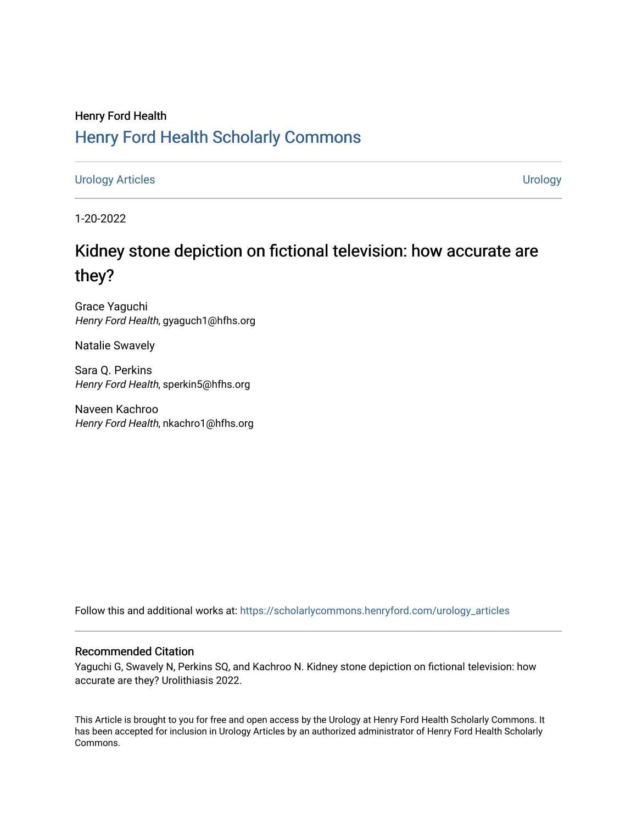# Henry Ford Health [Henry Ford Health Scholarly Commons](https://scholarlycommons.henryford.com/)

[Urology Articles](https://scholarlycommons.henryford.com/urology_articles) [Urology](https://scholarlycommons.henryford.com/urology) 

1-20-2022

# Kidney stone depiction on fictional television: how accurate are they?

Grace Yaguchi Henry Ford Health, gyaguch1@hfhs.org

Natalie Swavely

Sara Q. Perkins Henry Ford Health, sperkin5@hfhs.org

Naveen Kachroo Henry Ford Health, nkachro1@hfhs.org

Follow this and additional works at: [https://scholarlycommons.henryford.com/urology\\_articles](https://scholarlycommons.henryford.com/urology_articles?utm_source=scholarlycommons.henryford.com%2Furology_articles%2F439&utm_medium=PDF&utm_campaign=PDFCoverPages)

## Recommended Citation

Yaguchi G, Swavely N, Perkins SQ, and Kachroo N. Kidney stone depiction on fictional television: how accurate are they? Urolithiasis 2022.

This Article is brought to you for free and open access by the Urology at Henry Ford Health Scholarly Commons. It has been accepted for inclusion in Urology Articles by an authorized administrator of Henry Ford Health Scholarly Commons.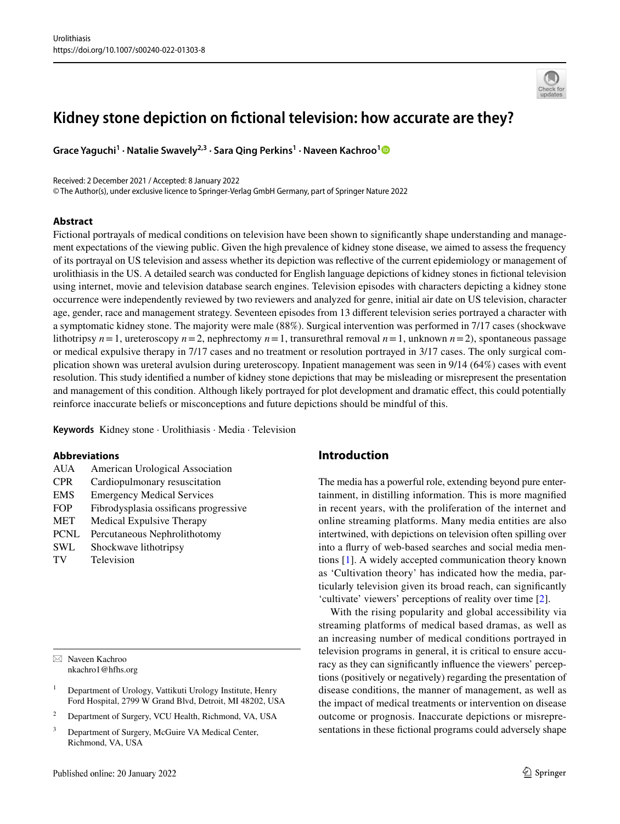# **Kidney stone depiction on fctional television: how accurate are they?**

Grace Yaguchi<sup>[1](http://orcid.org/0000-0002-9142-513X)</sup> · Natalie Swavely<sup>2,3</sup> · Sara Qing Perkins<sup>1</sup> · Naveen Kachroo<sup>1</sup>

Received: 2 December 2021 / Accepted: 8 January 2022

© The Author(s), under exclusive licence to Springer-Verlag GmbH Germany, part of Springer Nature 2022

#### **Abstract**

Fictional portrayals of medical conditions on television have been shown to signifcantly shape understanding and management expectations of the viewing public. Given the high prevalence of kidney stone disease, we aimed to assess the frequency of its portrayal on US television and assess whether its depiction was refective of the current epidemiology or management of urolithiasis in the US. A detailed search was conducted for English language depictions of kidney stones in fctional television using internet, movie and television database search engines. Television episodes with characters depicting a kidney stone occurrence were independently reviewed by two reviewers and analyzed for genre, initial air date on US television, character age, gender, race and management strategy. Seventeen episodes from 13 diferent television series portrayed a character with a symptomatic kidney stone. The majority were male (88%). Surgical intervention was performed in 7/17 cases (shockwave lithotripsy  $n=1$ , ureteroscopy  $n=2$ , nephrectomy  $n=1$ , transurethral removal  $n=1$ , unknown  $n=2$ ), spontaneous passage or medical expulsive therapy in 7/17 cases and no treatment or resolution portrayed in 3/17 cases. The only surgical complication shown was ureteral avulsion during ureteroscopy. Inpatient management was seen in 9/14 (64%) cases with event resolution. This study identifed a number of kidney stone depictions that may be misleading or misrepresent the presentation and management of this condition. Although likely portrayed for plot development and dramatic efect, this could potentially reinforce inaccurate beliefs or misconceptions and future depictions should be mindful of this.

**Keywords** Kidney stone · Urolithiasis · Media · Television

#### **Abbreviations**

| American Urological Association       |
|---------------------------------------|
| Cardiopulmonary resuscitation         |
| <b>Emergency Medical Services</b>     |
| Fibrodysplasia ossificans progressive |
| <b>Medical Expulsive Therapy</b>      |
| Percutaneous Nephrolithotomy          |
| Shockwave lithotripsy                 |
| Television                            |
|                                       |

 $\boxtimes$  Naveen Kachroo nkachro1@hfhs.org

- <sup>1</sup> Department of Urology, Vattikuti Urology Institute, Henry Ford Hospital, 2799 W Grand Blvd, Detroit, MI 48202, USA
- <sup>2</sup> Department of Surgery, VCU Health, Richmond, VA, USA
- <sup>3</sup> Department of Surgery, McGuire VA Medical Center, Richmond, VA, USA

# **Introduction**

The media has a powerful role, extending beyond pure entertainment, in distilling information. This is more magnifed in recent years, with the proliferation of the internet and online streaming platforms. Many media entities are also intertwined, with depictions on television often spilling over into a furry of web-based searches and social media mentions [[1\]](#page-8-0). A widely accepted communication theory known as 'Cultivation theory' has indicated how the media, particularly television given its broad reach, can signifcantly 'cultivate' viewers' perceptions of reality over time [\[2](#page-8-1)].

With the rising popularity and global accessibility via streaming platforms of medical based dramas, as well as an increasing number of medical conditions portrayed in television programs in general, it is critical to ensure accuracy as they can signifcantly infuence the viewers' perceptions (positively or negatively) regarding the presentation of disease conditions, the manner of management, as well as the impact of medical treatments or intervention on disease outcome or prognosis. Inaccurate depictions or misrepresentations in these fctional programs could adversely shape

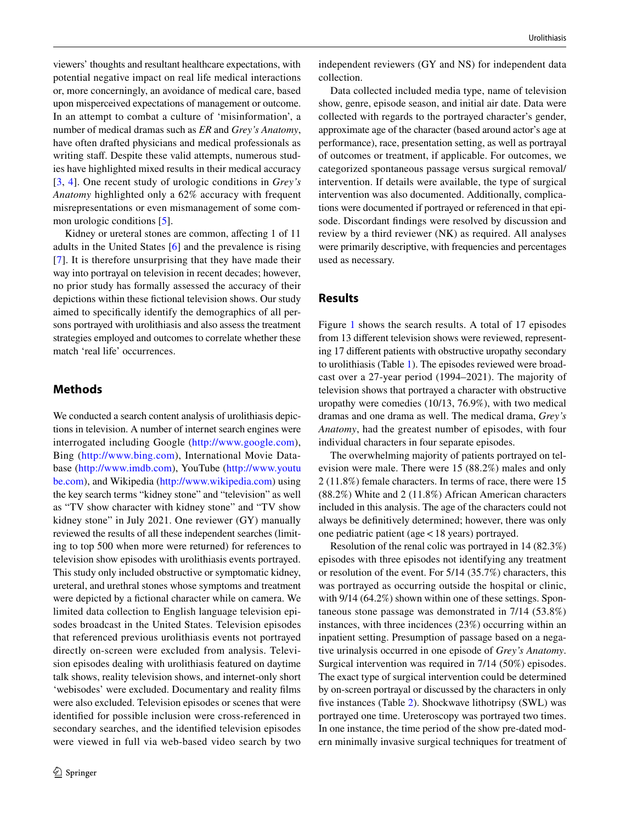viewers' thoughts and resultant healthcare expectations, with potential negative impact on real life medical interactions or, more concerningly, an avoidance of medical care, based upon misperceived expectations of management or outcome. In an attempt to combat a culture of 'misinformation', a number of medical dramas such as *ER* and *Grey's Anatomy*, have often drafted physicians and medical professionals as writing staff. Despite these valid attempts, numerous studies have highlighted mixed results in their medical accuracy [[3,](#page-8-2) [4\]](#page-8-3). One recent study of urologic conditions in *Grey's Anatomy* highlighted only a 62% accuracy with frequent misrepresentations or even mismanagement of some common urologic conditions [\[5](#page-8-4)].

Kidney or ureteral stones are common, affecting 1 of 11 adults in the United States [\[6](#page-8-5)] and the prevalence is rising [[7\]](#page-8-6). It is therefore unsurprising that they have made their way into portrayal on television in recent decades; however, no prior study has formally assessed the accuracy of their depictions within these fctional television shows. Our study aimed to specifcally identify the demographics of all persons portrayed with urolithiasis and also assess the treatment strategies employed and outcomes to correlate whether these match 'real life' occurrences.

#### **Methods**

We conducted a search content analysis of urolithiasis depictions in television. A number of internet search engines were interrogated including Google (<http://www.google.com>), Bing [\(http://www.bing.com\)](http://www.bing.com), International Movie Database [\(http://www.imdb.com](http://www.imdb.com)), YouTube ([http://www.youtu](http://www.youtube.com) [be.com](http://www.youtube.com)), and Wikipedia (<http://www.wikipedia.com>) using the key search terms "kidney stone" and "television" as well as "TV show character with kidney stone" and "TV show kidney stone" in July 2021. One reviewer (GY) manually reviewed the results of all these independent searches (limiting to top 500 when more were returned) for references to television show episodes with urolithiasis events portrayed. This study only included obstructive or symptomatic kidney, ureteral, and urethral stones whose symptoms and treatment were depicted by a fictional character while on camera. We limited data collection to English language television episodes broadcast in the United States. Television episodes that referenced previous urolithiasis events not portrayed directly on-screen were excluded from analysis. Television episodes dealing with urolithiasis featured on daytime talk shows, reality television shows, and internet-only short 'webisodes' were excluded. Documentary and reality flms were also excluded. Television episodes or scenes that were identifed for possible inclusion were cross-referenced in secondary searches, and the identifed television episodes were viewed in full via web-based video search by two independent reviewers (GY and NS) for independent data collection.

Data collected included media type, name of television show, genre, episode season, and initial air date. Data were collected with regards to the portrayed character's gender, approximate age of the character (based around actor's age at performance), race, presentation setting, as well as portrayal of outcomes or treatment, if applicable. For outcomes, we categorized spontaneous passage versus surgical removal/ intervention. If details were available, the type of surgical intervention was also documented. Additionally, complications were documented if portrayed or referenced in that episode. Discordant fndings were resolved by discussion and review by a third reviewer (NK) as required. All analyses were primarily descriptive, with frequencies and percentages used as necessary.

#### **Results**

Figure [1](#page-3-0) shows the search results. A total of 17 episodes from 13 diferent television shows were reviewed, representing 17 diferent patients with obstructive uropathy secondary to urolithiasis (Table [1\)](#page-4-0). The episodes reviewed were broadcast over a 27-year period (1994–2021). The majority of television shows that portrayed a character with obstructive uropathy were comedies (10/13, 76.9%), with two medical dramas and one drama as well. The medical drama, *Grey's Anatomy*, had the greatest number of episodes, with four individual characters in four separate episodes.

The overwhelming majority of patients portrayed on television were male. There were 15 (88.2%) males and only 2 (11.8%) female characters. In terms of race, there were 15 (88.2%) White and 2 (11.8%) African American characters included in this analysis. The age of the characters could not always be defnitively determined; however, there was only one pediatric patient (age<18 years) portrayed.

Resolution of the renal colic was portrayed in 14 (82.3%) episodes with three episodes not identifying any treatment or resolution of the event. For 5/14 (35.7%) characters, this was portrayed as occurring outside the hospital or clinic, with  $9/14$  (64.2%) shown within one of these settings. Spontaneous stone passage was demonstrated in 7/14 (53.8%) instances, with three incidences (23%) occurring within an inpatient setting. Presumption of passage based on a negative urinalysis occurred in one episode of *Grey's Anatomy*. Surgical intervention was required in 7/14 (50%) episodes. The exact type of surgical intervention could be determined by on-screen portrayal or discussed by the characters in only five instances (Table [2](#page-6-0)). Shockwave lithotripsy (SWL) was portrayed one time. Ureteroscopy was portrayed two times. In one instance, the time period of the show pre-dated modern minimally invasive surgical techniques for treatment of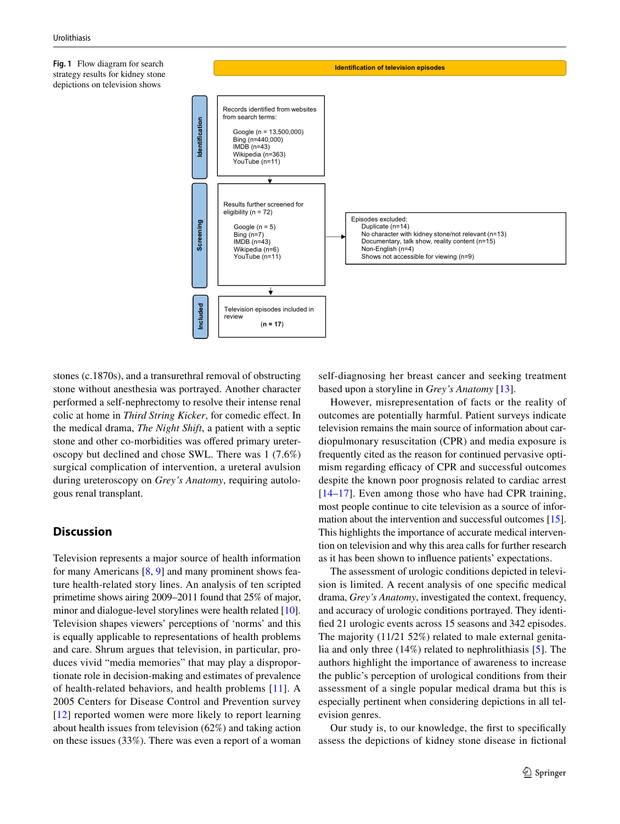<span id="page-3-0"></span>**Fig. 1** Flow diagram for search strategy results for kidney stone depictions on television shows



stones (c.1870s), and a transurethral removal of obstructing stone without anesthesia was portrayed. Another character performed a self-nephrectomy to resolve their intense renal colic at home in *Third String Kicker*, for comedic efect. In the medical drama, *The Night Shift*, a patient with a septic stone and other co-morbidities was ofered primary ureteroscopy but declined and chose SWL. There was 1 (7.6%) surgical complication of intervention, a ureteral avulsion during ureteroscopy on *Grey's Anatomy*, requiring autologous renal transplant.

### **Discussion**

Television represents a major source of health information for many Americans  $[8, 9]$  $[8, 9]$  $[8, 9]$  $[8, 9]$  and many prominent shows feature health-related story lines. An analysis of ten scripted primetime shows airing 2009–2011 found that 25% of major, minor and dialogue-level storylines were health related [\[10](#page-8-9)]. Television shapes viewers' perceptions of 'norms' and this is equally applicable to representations of health problems and care. Shrum argues that television, in particular, produces vivid "media memories" that may play a disproportionate role in decision-making and estimates of prevalence of health-related behaviors, and health problems [[11\]](#page-8-10). A 2005 Centers for Disease Control and Prevention survey [[12\]](#page-8-11) reported women were more likely to report learning about health issues from television (62%) and taking action on these issues (33%). There was even a report of a woman self-diagnosing her breast cancer and seeking treatment based upon a storyline in *Grey's Anatomy* [[13](#page-8-12)].

However, misrepresentation of facts or the reality of outcomes are potentially harmful. Patient surveys indicate television remains the main source of information about cardiopulmonary resuscitation (CPR) and media exposure is frequently cited as the reason for continued pervasive optimism regarding efficacy of CPR and successful outcomes despite the known poor prognosis related to cardiac arrest [[14–](#page-8-13)[17\]](#page-8-14). Even among those who have had CPR training, most people continue to cite television as a source of information about the intervention and successful outcomes [\[15](#page-8-15)]. This highlights the importance of accurate medical intervention on television and why this area calls for further research as it has been shown to infuence patients' expectations.

The assessment of urologic conditions depicted in television is limited. A recent analysis of one specifc medical drama, *Grey's Anatomy*, investigated the context, frequency, and accuracy of urologic conditions portrayed. They identifed 21 urologic events across 15 seasons and 342 episodes. The majority (11/21 52%) related to male external genitalia and only three (14%) related to nephrolithiasis [[5\]](#page-8-4). The authors highlight the importance of awareness to increase the public's perception of urological conditions from their assessment of a single popular medical drama but this is especially pertinent when considering depictions in all television genres.

Our study is, to our knowledge, the frst to specifcally assess the depictions of kidney stone disease in fctional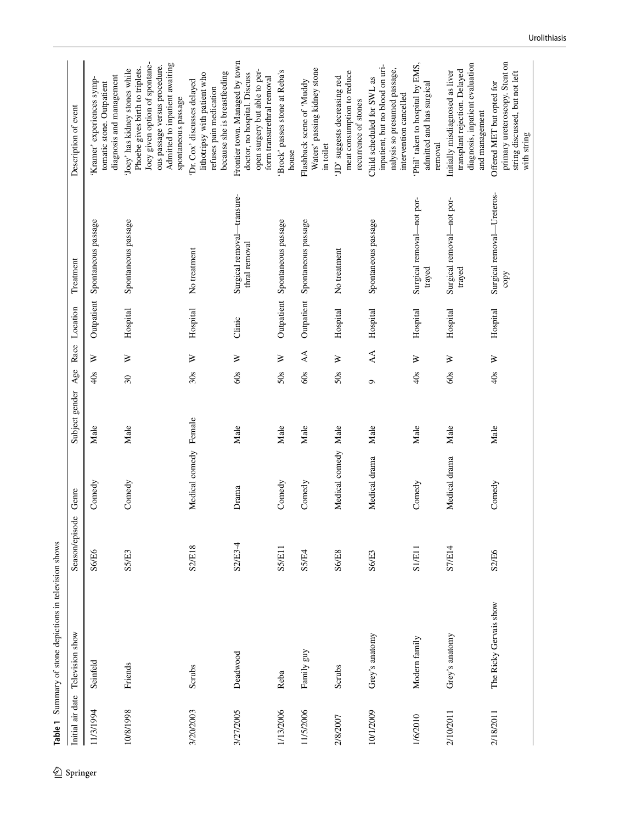<span id="page-4-0"></span>

| Initial air date | Table 1 Summary of stone depictions in television shows<br>Television show | $\overline{\mathbf{c}}$<br>Season/episod | Genre                 | Subject gender | Age                      | Race   | Location   | Treatment                                   | Description of event                                                                                                                                                                         |
|------------------|----------------------------------------------------------------------------|------------------------------------------|-----------------------|----------------|--------------------------|--------|------------|---------------------------------------------|----------------------------------------------------------------------------------------------------------------------------------------------------------------------------------------------|
| 11/3/1994        | Seinfeld                                                                   | S6/E6                                    | Comedy                | Male           | 40s                      | ≽      | Outpatient | Spontaneous passage                         | diagnosis and management<br>Kramer' experiences symp-<br>tomatic stone. Outpatient                                                                                                           |
| 10/8/1998        | Friends                                                                    | S5/E3                                    | Comedy                | Male           | $\overline{\mathbf{30}}$ | ⋗      | Hospital   | Spontaneous passage                         | Joey given option of spontane-<br>Admitted to inpatient awaiting<br>ous passage versus procedure.<br>Phoebe gives birth to triplets.<br>Joey' has kidney stones while<br>spontaneous passage |
| 3/20/2003        | Scrubs                                                                     | <b>S2/E18</b>                            | Medical comedy Female |                | 30s                      | ⋗      | Hospital   | No treatment                                | because she is breastfeeding<br>lithotripsy with patient who<br>'Dr. Cox' discusses delayed<br>refuses pain medication                                                                       |
| 3/27/2005        | Deadwood                                                                   | S2/E3-4                                  | Drama                 | Male           | 60s                      | ≽      | Clinic     | Surgical removal-transure-<br>thral removal | Frontier town. Managed by town<br>open surgery but able to per-<br>doctor, no hospital. Discuss<br>form transurethral removal                                                                |
| 1/13/2006        | Reba                                                                       | S5/E11                                   | Comedy                | Male           | 50s                      | $\geq$ | Outpatient | Spontaneous passage                         | Brock' passes stone at Reba's<br>house                                                                                                                                                       |
| 11/5/2006        | Family guy                                                                 | SS/E4                                    | Comedy                | Male           | 60s                      | AA     | Outpatient | Spontaneous passage                         | Waters' passing kidney stone<br>Flashback scene of 'Muddy<br>in toilet                                                                                                                       |
| 2/8/2007         | Scrubs                                                                     | <b>S6/E8</b>                             | Medical comedy        | Male           | 50s                      | ≥      | Hospital   | No treatment                                | meat consumption to reduce<br>'JD' suggests decreasing red<br>recurrence of stones                                                                                                           |
| 10/1/2009        | Grey's anatomy                                                             | S6/E3                                    | Medical drama         | Male           | Ó                        | AA     | Hospital   | Spontaneous passage                         | inpatient, but no blood on uri-<br>nalysis so presumed passage,<br>Child scheduled for SWL as<br>intervention cancelled                                                                      |
| 1/6/2010         | Modern family                                                              | S1/E11                                   | Comedy                | Male           | 40s                      | ≽      | Hospital   | Surgical removal-not por-<br>trayed         | Phil' taken to hospital by EMS,<br>admitted and has surgical<br>removal                                                                                                                      |
| 2/10/2011        | Grey's anatomy                                                             | <b>S7/E14</b>                            | Medical drama         | Male           | 60s                      | ≥      | Hospital   | Surgical removal-not por-<br>trayed         | diagnosis, inpatient evaluation<br>transplant rejection. Delayed<br>Initially misdiagnosed as liver<br>and management                                                                        |
| 2/18/2011        | The Ricky Gervais show                                                     | S2/E6                                    | Comedy                | Male           | 40s                      | $\geq$ | Hospital   | Surgical removal-Ureteros-<br>copy          | primary ureteroscopy. Stent on<br>string discussed, but not left<br>Offered MET but opted for<br>with string                                                                                 |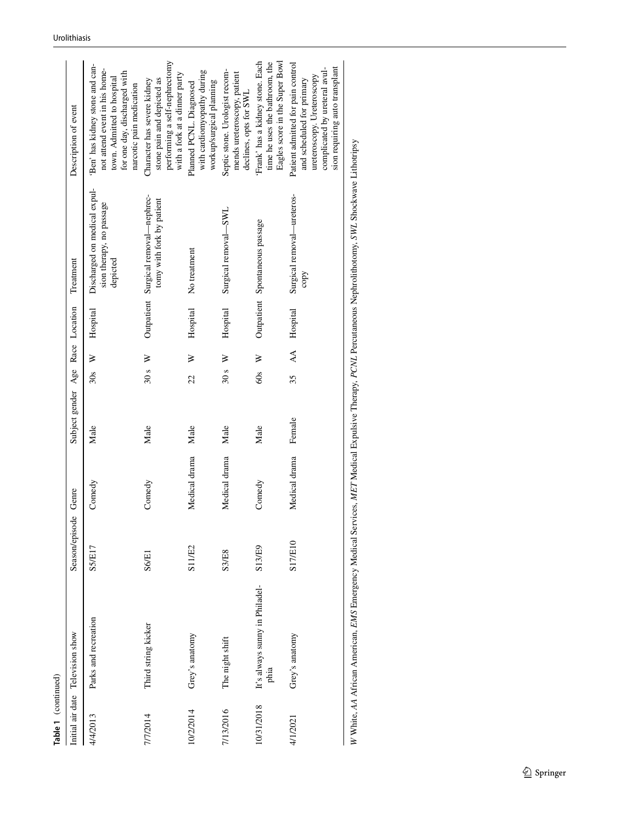| Table 1 (continued) |                                        |                      |               |                                  |                 |   |             |                                                                      |                                                                                                                                                                 |
|---------------------|----------------------------------------|----------------------|---------------|----------------------------------|-----------------|---|-------------|----------------------------------------------------------------------|-----------------------------------------------------------------------------------------------------------------------------------------------------------------|
|                     | Initial air date Television show       | Season/episode Genre |               | Subject gender Age Race Location |                 |   |             | Treatment                                                            | Description of event                                                                                                                                            |
| 4/4/2013            | Parks and recreation                   | S5/E17               | Comedy        | Male                             | 30s             | ≽ | Hospital    | Discharged on medical expul-<br>sion therapy, no passage<br>depicted | 'Ben' has kidney stone and can-<br>not attend event in his home-<br>for one day, discharged with<br>town. Admitted to hospital<br>narcotic pain medication      |
| 7/7/2014            | Third string kicker                    | S6/E1                | Comedy        | Male                             | 30 <sub>s</sub> | ≽ |             | Outpatient Surgical removal—nephrec-<br>tomy with fork by patient    | performing a self-nephrectomy<br>with a fork at a dinner party<br>stone pain and depicted as<br>Character has severe kidney                                     |
| 10/2/2014           | Grey's anatomy                         | S11/E2               | Medical drama | Male                             | 22              | ≽ | Hospital    | No treatment                                                         | with cardiomyopathy during<br>workup/surgical planning<br>Planned PCNL. Diagnosed                                                                               |
| 7/13/2016           | The night shift                        | S3/E8                | Medical drama | Male                             | 30 <sub>s</sub> | ≽ | Hospital    | Surgical removal-SWL                                                 | Septic stone. Urologist recom-<br>mends ureteroscopy, patient<br>declines, opts for SWL                                                                         |
| 10/31/2018          | It's always sunny in Philadel-<br>phia | S13/E9               | Comedy        | Male                             | 60s             | ≽ |             | Outpatient Spontaneous passage                                       | Eagles score in the Super Bowl<br>Frank' has a kidney stone. Each<br>time he uses the bathroom, the                                                             |
| 4/1/2021            | Grey's anatomy                         | S17/E10              | Medical drama | Female                           | 35              |   | AA Hospital | Surgical removal-ureteros-<br>copy                                   | Patient admitted for pain control<br>complicated by ureteral avul-<br>sion requiring auto transplant<br>ureteroscopy. Ureteroscopy<br>and scheduled for primary |

W White, AA African American, EMS Emergency Medical Services, MET Medical Expulsive Therapy, PCNL Percutaneous Nephrolithotomy, SWL Shockwave Lithotripsy *W* White, *AA* African American, *EMS* Emergency Medical Services, *MET* Medical Expulsive Therapy, *PCNL* Percutaneous Nephrolithotomy, *SWL* Shockwave Lithotripsy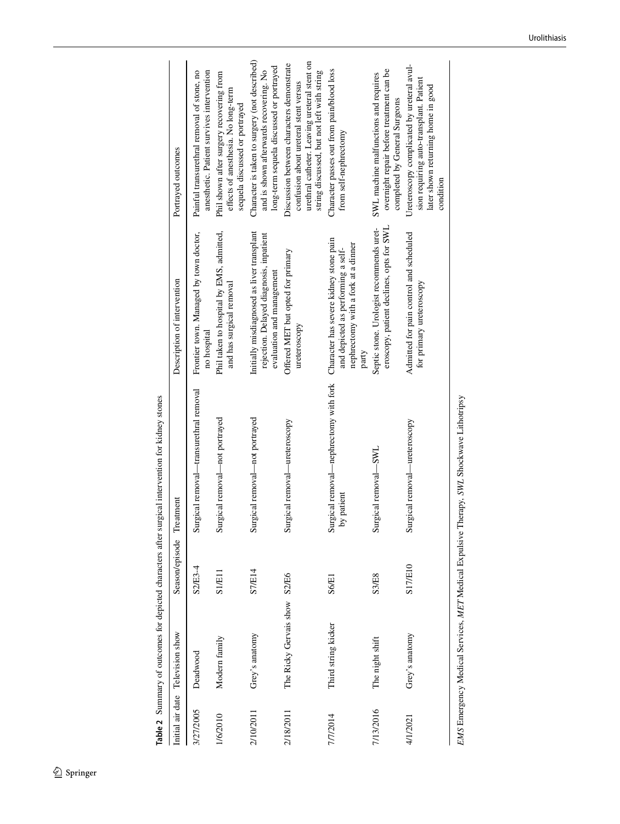|                  |                              |                | Table 2 Summary of outcomes for depicted characters after surgical intervention for kidney stones |                                                                                                                              |                                                                                                                                                                                  |
|------------------|------------------------------|----------------|---------------------------------------------------------------------------------------------------|------------------------------------------------------------------------------------------------------------------------------|----------------------------------------------------------------------------------------------------------------------------------------------------------------------------------|
| Initial air date | Television show              | Season/episode | Treatment                                                                                         | Description of intervention                                                                                                  | Portrayed outcomes                                                                                                                                                               |
| 3/27/2005        | Deadwood                     | S2/E3-4        | Surgical removal-transurethral removal                                                            | Frontier town. Managed by town doctor,<br>no hospital                                                                        | Painful transurethral removal of stone, no<br>anesthetic. Patient survives intervention                                                                                          |
| 1/6/2010         | Modern family                | S1/E11         | Surgical removal-not portrayed                                                                    | Phil taken to hospital by EMS, admitted,<br>and has surgical removal                                                         | Phil shown after surgery recovering from<br>effects of anesthesia. No long-term<br>sequela discussed or portrayed                                                                |
| 2/10/2011        | Grey's anatomy               | S7/E14         | Surgical removal-not portrayed                                                                    | Initially misdiagnosed as liver transplant<br>rejection. Delayed diagnosis, inpatient<br>evaluation and management           | Character is taken to surgery (not described)<br>long-term sequela discussed or portrayed<br>and is shown afterwards recovering. No                                              |
| 2/18/2011        | The Ricky Gervais show S2/E6 |                | Surgical removal—ureteroscopy                                                                     | Offered MET but opted for primary<br>ureteroscopy                                                                            | urethral catheter. Leaving ureteral stent on<br>Discussion between characters demonstrate<br>string discussed, but not left with string<br>confusion about ureteral stent versus |
| 7/7/2014         | Third string kicker          | S6/E1          | Surgical removal—nephrectomy with fork<br>by patient                                              | Character has severe kidney stone pain<br>nephrectomy with a fork at a dinner<br>and depicted as performing a self-<br>party | Character passes out from pain/blood loss<br>from self-nephrectomy                                                                                                               |
| 7/13/2016        | The night shift              | S3/E8          | Surgical removal-SWL                                                                              | eroscopy, patient declines, opts for SWL<br>Septic stone. Urologist recommends uret-                                         | overnight repair before treatment can be<br>SWL machine malfunctions and requires<br>completed by General Surgeons                                                               |
| 4/1/2021         | Grey's anatomy               | S17/E10        | Surgical removal-ureteroscopy                                                                     | Admitted for pain control and scheduled<br>for primary ureteroscopy                                                          | Ureteroscopy complicated by ureteral avul-<br>sion requiring auto-transplant. Patient<br>later shown returning home in good<br>condition                                         |
|                  |                              |                | EMS Emergency Medical Services, MET Medical Expulsive Therapy, SWL Shockwave Lithotripsy          |                                                                                                                              |                                                                                                                                                                                  |

<span id="page-6-0"></span>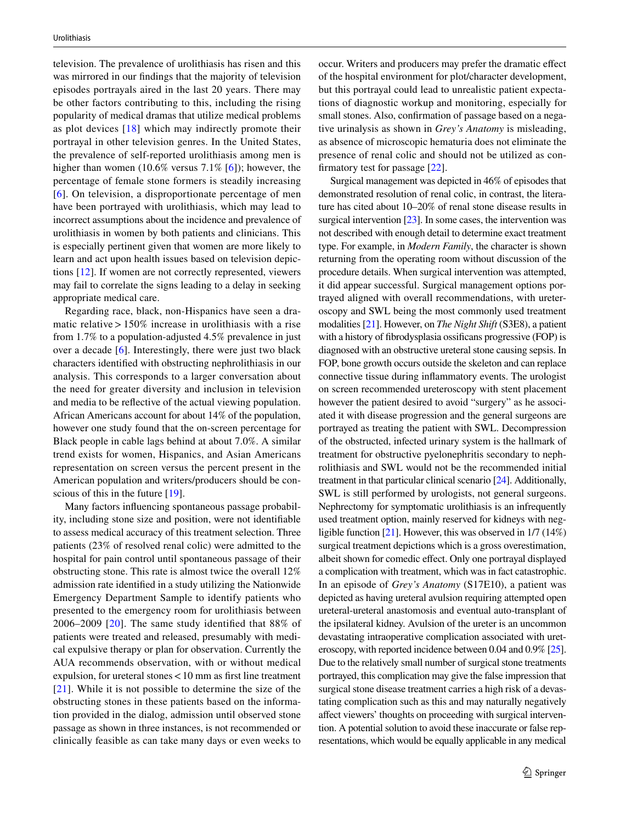television. The prevalence of urolithiasis has risen and this was mirrored in our fndings that the majority of television episodes portrayals aired in the last 20 years. There may be other factors contributing to this, including the rising popularity of medical dramas that utilize medical problems as plot devices [[18\]](#page-9-0) which may indirectly promote their portrayal in other television genres. In the United States, the prevalence of self-reported urolithiasis among men is higher than women (10.6% versus 7.1% [[6\]](#page-8-5)); however, the percentage of female stone formers is steadily increasing [[6\]](#page-8-5). On television, a disproportionate percentage of men have been portrayed with urolithiasis, which may lead to incorrect assumptions about the incidence and prevalence of urolithiasis in women by both patients and clinicians. This is especially pertinent given that women are more likely to learn and act upon health issues based on television depictions [[12\]](#page-8-11). If women are not correctly represented, viewers may fail to correlate the signs leading to a delay in seeking appropriate medical care.

Regarding race, black, non-Hispanics have seen a dramatic relative  $>150\%$  increase in urolithiasis with a rise from 1.7% to a population-adjusted 4.5% prevalence in just over a decade [[6](#page-8-5)]. Interestingly, there were just two black characters identifed with obstructing nephrolithiasis in our analysis. This corresponds to a larger conversation about the need for greater diversity and inclusion in television and media to be refective of the actual viewing population. African Americans account for about 14% of the population, however one study found that the on-screen percentage for Black people in cable lags behind at about 7.0%. A similar trend exists for women, Hispanics, and Asian Americans representation on screen versus the percent present in the American population and writers/producers should be conscious of this in the future [[19](#page-9-1)].

Many factors infuencing spontaneous passage probability, including stone size and position, were not identifable to assess medical accuracy of this treatment selection. Three patients (23% of resolved renal colic) were admitted to the hospital for pain control until spontaneous passage of their obstructing stone. This rate is almost twice the overall 12% admission rate identifed in a study utilizing the Nationwide Emergency Department Sample to identify patients who presented to the emergency room for urolithiasis between 2006–2009 [[20\]](#page-9-2). The same study identifed that 88% of patients were treated and released, presumably with medical expulsive therapy or plan for observation. Currently the AUA recommends observation, with or without medical expulsion, for ureteral stones  $<$  10 mm as first line treatment [[21\]](#page-9-3). While it is not possible to determine the size of the obstructing stones in these patients based on the information provided in the dialog, admission until observed stone passage as shown in three instances, is not recommended or clinically feasible as can take many days or even weeks to occur. Writers and producers may prefer the dramatic efect of the hospital environment for plot/character development, but this portrayal could lead to unrealistic patient expectations of diagnostic workup and monitoring, especially for small stones. Also, confrmation of passage based on a negative urinalysis as shown in *Grey's Anatomy* is misleading, as absence of microscopic hematuria does not eliminate the presence of renal colic and should not be utilized as confrmatory test for passage [\[22](#page-9-4)].

Surgical management was depicted in 46% of episodes that demonstrated resolution of renal colic, in contrast, the literature has cited about 10–20% of renal stone disease results in surgical intervention [\[23\]](#page-9-5). In some cases, the intervention was not described with enough detail to determine exact treatment type. For example, in *Modern Family*, the character is shown returning from the operating room without discussion of the procedure details. When surgical intervention was attempted, it did appear successful. Surgical management options portrayed aligned with overall recommendations, with ureteroscopy and SWL being the most commonly used treatment modalities [[21](#page-9-3)]. However, on *The Night Shift* (S3E8), a patient with a history of fbrodysplasia ossifcans progressive (FOP) is diagnosed with an obstructive ureteral stone causing sepsis. In FOP, bone growth occurs outside the skeleton and can replace connective tissue during infammatory events. The urologist on screen recommended ureteroscopy with stent placement however the patient desired to avoid "surgery" as he associated it with disease progression and the general surgeons are portrayed as treating the patient with SWL. Decompression of the obstructed, infected urinary system is the hallmark of treatment for obstructive pyelonephritis secondary to nephrolithiasis and SWL would not be the recommended initial treatment in that particular clinical scenario [\[24\]](#page-9-6). Additionally, SWL is still performed by urologists, not general surgeons. Nephrectomy for symptomatic urolithiasis is an infrequently used treatment option, mainly reserved for kidneys with negligible function [\[21\]](#page-9-3). However, this was observed in 1/7 (14%) surgical treatment depictions which is a gross overestimation, albeit shown for comedic efect. Only one portrayal displayed a complication with treatment, which was in fact catastrophic. In an episode of *Grey's Anatomy* (S17E10), a patient was depicted as having ureteral avulsion requiring attempted open ureteral-ureteral anastomosis and eventual auto-transplant of the ipsilateral kidney. Avulsion of the ureter is an uncommon devastating intraoperative complication associated with ureteroscopy, with reported incidence between 0.04 and 0.9% [\[25\]](#page-9-7). Due to the relatively small number of surgical stone treatments portrayed, this complication may give the false impression that surgical stone disease treatment carries a high risk of a devastating complication such as this and may naturally negatively afect viewers' thoughts on proceeding with surgical intervention. A potential solution to avoid these inaccurate or false representations, which would be equally applicable in any medical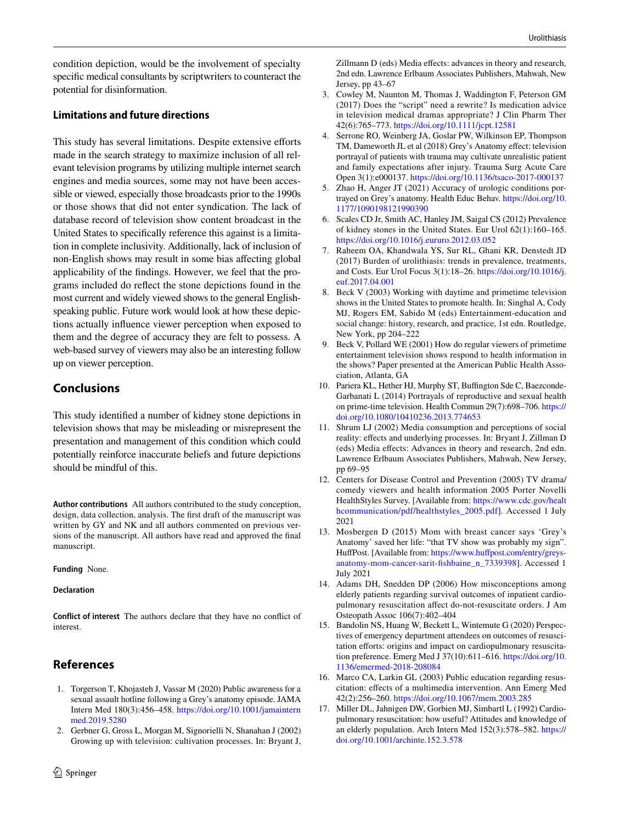condition depiction, would be the involvement of specialty specifc medical consultants by scriptwriters to counteract the potential for disinformation.

#### **Limitations and future directions**

This study has several limitations. Despite extensive efforts made in the search strategy to maximize inclusion of all relevant television programs by utilizing multiple internet search engines and media sources, some may not have been accessible or viewed, especially those broadcasts prior to the 1990s or those shows that did not enter syndication. The lack of database record of television show content broadcast in the United States to specifcally reference this against is a limitation in complete inclusivity. Additionally, lack of inclusion of non-English shows may result in some bias afecting global applicability of the fndings. However, we feel that the programs included do refect the stone depictions found in the most current and widely viewed shows to the general Englishspeaking public. Future work would look at how these depictions actually infuence viewer perception when exposed to them and the degree of accuracy they are felt to possess. A web-based survey of viewers may also be an interesting follow up on viewer perception.

# **Conclusions**

This study identifed a number of kidney stone depictions in television shows that may be misleading or misrepresent the presentation and management of this condition which could potentially reinforce inaccurate beliefs and future depictions should be mindful of this.

**Author contributions** All authors contributed to the study conception, design, data collection, analysis. The frst draft of the manuscript was written by GY and NK and all authors commented on previous versions of the manuscript. All authors have read and approved the fnal manuscript.

**Funding** None.

#### **Declaration**

**Conflict of interest** The authors declare that they have no confict of interest.

## **References**

- <span id="page-8-0"></span>1. Torgerson T, Khojasteh J, Vassar M (2020) Public awareness for a sexual assault hotline following a Grey's anatomy episode. JAMA Intern Med 180(3):456–458. [https://doi.org/10.1001/jamaintern](https://doi.org/10.1001/jamainternmed.2019.5280) [med.2019.5280](https://doi.org/10.1001/jamainternmed.2019.5280)
- <span id="page-8-1"></span>2. Gerbner G, Gross L, Morgan M, Signorielli N, Shanahan J (2002) Growing up with television: cultivation processes. In: Bryant J,

Zillmann D (eds) Media effects: advances in theory and research, 2nd edn. Lawrence Erlbaum Associates Publishers, Mahwah, New Jersey, pp 43–67

- <span id="page-8-2"></span>3. Cowley M, Naunton M, Thomas J, Waddington F, Peterson GM (2017) Does the "script" need a rewrite? Is medication advice in television medical dramas appropriate? J Clin Pharm Ther 42(6):765–773.<https://doi.org/10.1111/jcpt.12581>
- <span id="page-8-3"></span>4. Serrone RO, Weinberg JA, Goslar PW, Wilkinson EP, Thompson TM, Dameworth JL et al (2018) Grey's Anatomy effect: television portrayal of patients with trauma may cultivate unrealistic patient and family expectations after injury. Trauma Surg Acute Care Open 3(1):e000137.<https://doi.org/10.1136/tsaco-2017-000137>
- <span id="page-8-4"></span>5. Zhao H, Anger JT (2021) Accuracy of urologic conditions portrayed on Grey's anatomy. Health Educ Behav. [https://doi.org/10.](https://doi.org/10.1177/1090198121990390) [1177/1090198121990390](https://doi.org/10.1177/1090198121990390)
- <span id="page-8-5"></span>6. Scales CD Jr, Smith AC, Hanley JM, Saigal CS (2012) Prevalence of kidney stones in the United States. Eur Urol 62(1):160–165. <https://doi.org/10.1016/j.eururo.2012.03.052>
- <span id="page-8-6"></span>7. Raheem OA, Khandwala YS, Sur RL, Ghani KR, Denstedt JD (2017) Burden of urolithiasis: trends in prevalence, treatments, and Costs. Eur Urol Focus 3(1):18–26. [https://doi.org/10.1016/j.](https://doi.org/10.1016/j.euf.2017.04.001) [euf.2017.04.001](https://doi.org/10.1016/j.euf.2017.04.001)
- <span id="page-8-7"></span>8. Beck V (2003) Working with daytime and primetime television shows in the United States to promote health. In: Singhal A, Cody MJ, Rogers EM, Sabido M (eds) Entertainment-education and social change: history, research, and practice, 1st edn. Routledge, New York, pp 204–222
- <span id="page-8-8"></span>9. Beck V, Pollard WE (2001) How do regular viewers of primetime entertainment television shows respond to health information in the shows? Paper presented at the American Public Health Association, Atlanta, GA
- <span id="page-8-9"></span>10. Pariera KL, Hether HJ, Murphy ST, Buffington Sde C, Baezconde-Garbanati L (2014) Portrayals of reproductive and sexual health on prime-time television. Health Commun 29(7):698–706. [https://](https://doi.org/10.1080/10410236.2013.774653) [doi.org/10.1080/10410236.2013.774653](https://doi.org/10.1080/10410236.2013.774653)
- <span id="page-8-10"></span>11. Shrum LJ (2002) Media consumption and perceptions of social reality: effects and underlying processes. In: Bryant J, Zillman D (eds) Media efects: Advances in theory and research, 2nd edn. Lawrence Erlbaum Associates Publishers, Mahwah, New Jersey, pp 69–95
- <span id="page-8-11"></span>12. Centers for Disease Control and Prevention (2005) TV drama/ comedy viewers and health information 2005 Porter Novelli HealthStyles Survey. [Available from: [https://www.cdc.gov/healt](https://www.cdc.gov/healthcommunication/pdf/healthstyles_2005.pdf) [hcommunication/pdf/healthstyles\\_2005.pdf\]](https://www.cdc.gov/healthcommunication/pdf/healthstyles_2005.pdf). Accessed 1 July 2021
- <span id="page-8-12"></span>13. Mosbergen D (2015) Mom with breast cancer says 'Grey's Anatomy' saved her life: "that TV show was probably my sign". HuffPost. [Available from: https://www.huffpost.com/entry/greys[anatomy-mom-cancer-sarit-fshbaine\\_n\\_7339398\]](https://www.huffpost.com/entry/greys-anatomy-mom-cancer-sarit-fishbaine_n_7339398). Accessed 1 July 2021
- <span id="page-8-13"></span>14. Adams DH, Snedden DP (2006) How misconceptions among elderly patients regarding survival outcomes of inpatient cardiopulmonary resuscitation afect do-not-resuscitate orders. J Am Osteopath Assoc 106(7):402–404
- <span id="page-8-15"></span>15. Bandolin NS, Huang W, Beckett L, Wintemute G (2020) Perspectives of emergency department attendees on outcomes of resuscitation efforts: origins and impact on cardiopulmonary resuscitation preference. Emerg Med J 37(10):611–616. [https://doi.org/10.](https://doi.org/10.1136/emermed-2018-208084) [1136/emermed-2018-208084](https://doi.org/10.1136/emermed-2018-208084)
- 16. Marco CA, Larkin GL (2003) Public education regarding resuscitation: efects of a multimedia intervention. Ann Emerg Med 42(2):256–260.<https://doi.org/10.1067/mem.2003.285>
- <span id="page-8-14"></span>17. Miller DL, Jahnigen DW, Gorbien MJ, Simbartl L (1992) Cardiopulmonary resuscitation: how useful? Attitudes and knowledge of an elderly population. Arch Intern Med 152(3):578–582. [https://](https://doi.org/10.1001/archinte.152.3.578) [doi.org/10.1001/archinte.152.3.578](https://doi.org/10.1001/archinte.152.3.578)